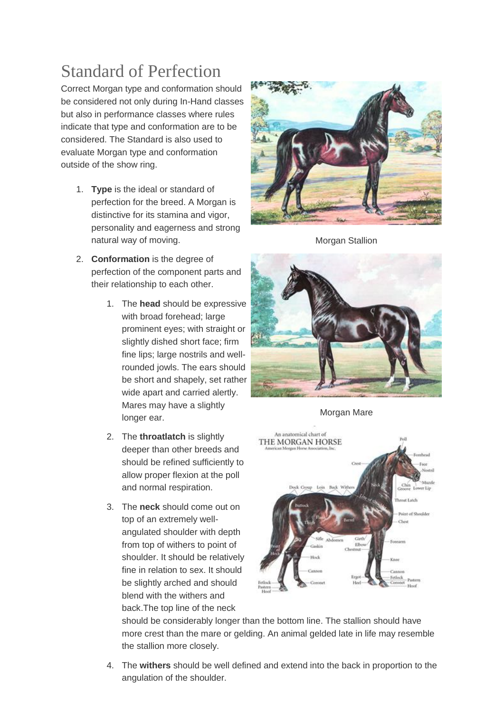## Standard of Perfection

Correct Morgan type and conformation should be considered not only during In-Hand classes but also in performance classes where rules indicate that type and conformation are to be considered. The Standard is also used to evaluate Morgan type and conformation outside of the show ring.

- 1. **Type** is the ideal or standard of perfection for the breed. A Morgan is distinctive for its stamina and vigor, personality and eagerness and strong natural way of moving.
- 2. **Conformation** is the degree of perfection of the component parts and their relationship to each other.
	- 1. The **head** should be expressive with broad forehead; large prominent eyes; with straight or slightly dished short face; firm fine lips; large nostrils and wellrounded jowls. The ears should be short and shapely, set rather wide apart and carried alertly. Mares may have a slightly longer ear.
	- 2. The **throatlatch** is slightly deeper than other breeds and should be refined sufficiently to allow proper flexion at the poll and normal respiration.
	- 3. The **neck** should come out on top of an extremely wellangulated shoulder with depth from top of withers to point of shoulder. It should be relatively fine in relation to sex. It should be slightly arched and should blend with the withers and back.The top line of the neck



Morgan Stallion



Morgan Mare



should be considerably longer than the bottom line. The stallion should have more crest than the mare or gelding. An animal gelded late in life may resemble the stallion more closely.

4. The **withers** should be well defined and extend into the back in proportion to the angulation of the shoulder.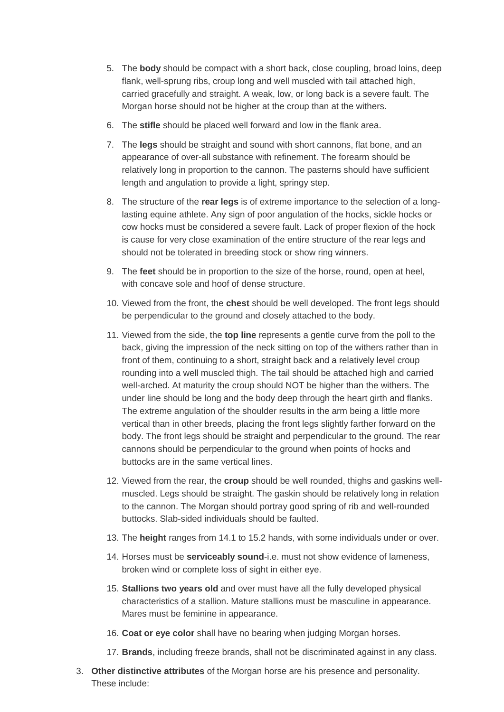- 5. The **body** should be compact with a short back, close coupling, broad loins, deep flank, well-sprung ribs, croup long and well muscled with tail attached high, carried gracefully and straight. A weak, low, or long back is a severe fault. The Morgan horse should not be higher at the croup than at the withers.
- 6. The **stifle** should be placed well forward and low in the flank area.
- 7. The **legs** should be straight and sound with short cannons, flat bone, and an appearance of over-all substance with refinement. The forearm should be relatively long in proportion to the cannon. The pasterns should have sufficient length and angulation to provide a light, springy step.
- 8. The structure of the **rear legs** is of extreme importance to the selection of a longlasting equine athlete. Any sign of poor angulation of the hocks, sickle hocks or cow hocks must be considered a severe fault. Lack of proper flexion of the hock is cause for very close examination of the entire structure of the rear legs and should not be tolerated in breeding stock or show ring winners.
- 9. The **feet** should be in proportion to the size of the horse, round, open at heel, with concave sole and hoof of dense structure.
- 10. Viewed from the front, the **chest** should be well developed. The front legs should be perpendicular to the ground and closely attached to the body.
- 11. Viewed from the side, the **top line** represents a gentle curve from the poll to the back, giving the impression of the neck sitting on top of the withers rather than in front of them, continuing to a short, straight back and a relatively level croup rounding into a well muscled thigh. The tail should be attached high and carried well-arched. At maturity the croup should NOT be higher than the withers. The under line should be long and the body deep through the heart girth and flanks. The extreme angulation of the shoulder results in the arm being a little more vertical than in other breeds, placing the front legs slightly farther forward on the body. The front legs should be straight and perpendicular to the ground. The rear cannons should be perpendicular to the ground when points of hocks and buttocks are in the same vertical lines.
- 12. Viewed from the rear, the **croup** should be well rounded, thighs and gaskins wellmuscled. Legs should be straight. The gaskin should be relatively long in relation to the cannon. The Morgan should portray good spring of rib and well-rounded buttocks. Slab-sided individuals should be faulted.
- 13. The **height** ranges from 14.1 to 15.2 hands, with some individuals under or over.
- 14. Horses must be **serviceably sound**-i.e. must not show evidence of lameness, broken wind or complete loss of sight in either eye.
- 15. **Stallions two years old** and over must have all the fully developed physical characteristics of a stallion. Mature stallions must be masculine in appearance. Mares must be feminine in appearance.
- 16. **Coat or eye color** shall have no bearing when judging Morgan horses.
- 17. **Brands**, including freeze brands, shall not be discriminated against in any class.
- 3. **Other distinctive attributes** of the Morgan horse are his presence and personality. These include: